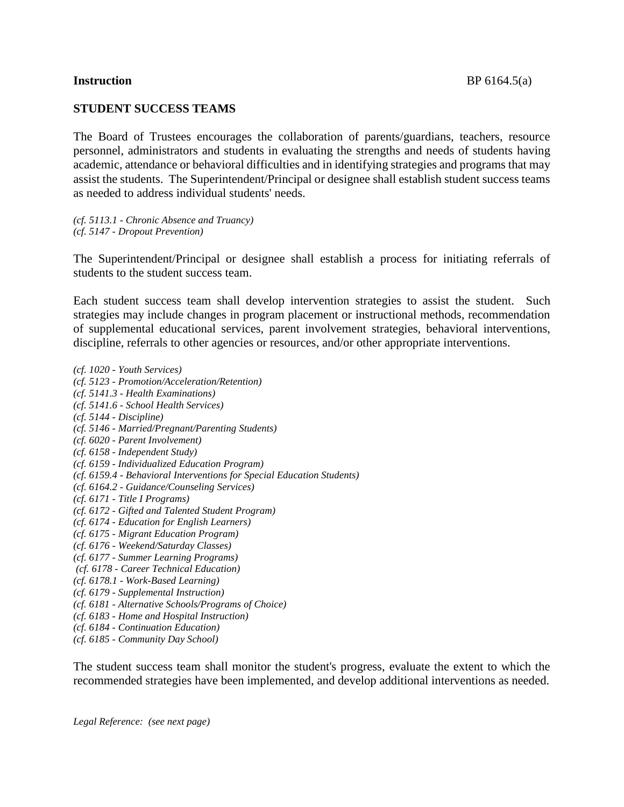### **STUDENT SUCCESS TEAMS**

The Board of Trustees encourages the collaboration of parents/guardians, teachers, resource personnel, administrators and students in evaluating the strengths and needs of students having academic, attendance or behavioral difficulties and in identifying strategies and programs that may assist the students. The Superintendent/Principal or designee shall establish student success teams as needed to address individual students' needs.

*(cf. 5113.1 - Chronic Absence and Truancy) (cf. 5147 - Dropout Prevention)*

The Superintendent/Principal or designee shall establish a process for initiating referrals of students to the student success team.

Each student success team shall develop intervention strategies to assist the student. Such strategies may include changes in program placement or instructional methods, recommendation of supplemental educational services, parent involvement strategies, behavioral interventions, discipline, referrals to other agencies or resources, and/or other appropriate interventions.

*(cf. 1020 - Youth Services) (cf. 5123 - Promotion/Acceleration/Retention) (cf. 5141.3 - Health Examinations) (cf. 5141.6 - School Health Services) (cf. 5144 - Discipline) (cf. 5146 - Married/Pregnant/Parenting Students) (cf. 6020 - Parent Involvement) (cf. 6158 - Independent Study) (cf. 6159 - Individualized Education Program) (cf. 6159.4 - Behavioral Interventions for Special Education Students) (cf. 6164.2 - Guidance/Counseling Services) (cf. 6171 - Title I Programs) (cf. 6172 - Gifted and Talented Student Program) (cf. 6174 - Education for English Learners) (cf. 6175 - Migrant Education Program) (cf. 6176 - Weekend/Saturday Classes) (cf. 6177 - Summer Learning Programs) (cf. 6178 - Career Technical Education) (cf. 6178.1 - Work-Based Learning) (cf. 6179 - Supplemental Instruction) (cf. 6181 - Alternative Schools/Programs of Choice) (cf. 6183 - Home and Hospital Instruction) (cf. 6184 - Continuation Education) (cf. 6185 - Community Day School)*

The student success team shall monitor the student's progress, evaluate the extent to which the recommended strategies have been implemented, and develop additional interventions as needed.

*Legal Reference: (see next page)*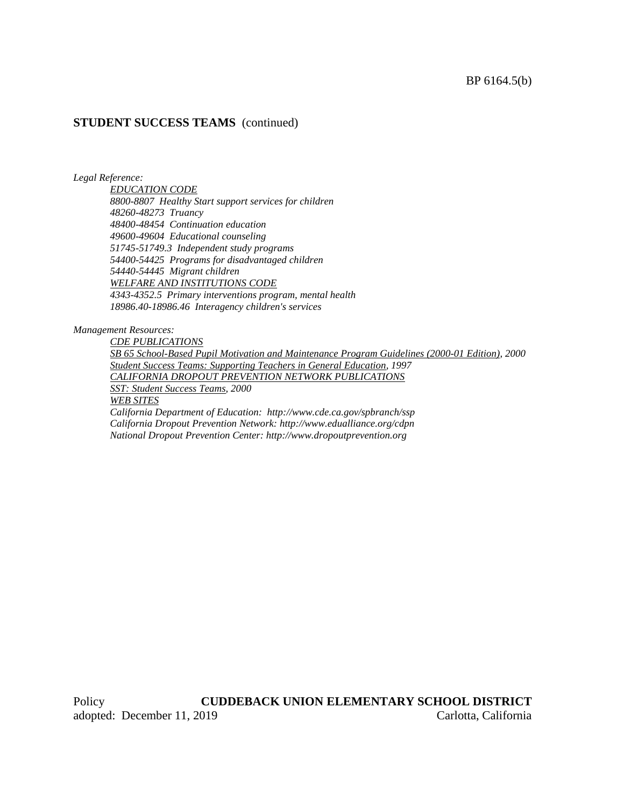### **STUDENT SUCCESS TEAMS** (continued)

*Legal Reference:*

*EDUCATION CODE 8800-8807 Healthy Start support services for children 48260-48273 Truancy 48400-48454 Continuation education 49600-49604 Educational counseling 51745-51749.3 Independent study programs 54400-54425 Programs for disadvantaged children 54440-54445 Migrant children WELFARE AND INSTITUTIONS CODE 4343-4352.5 Primary interventions program, mental health 18986.40-18986.46 Interagency children's services*

#### *Management Resources:*

*CDE PUBLICATIONS SB 65 School-Based Pupil Motivation and Maintenance Program Guidelines (2000-01 Edition), 2000 Student Success Teams: Supporting Teachers in General Education, 1997 CALIFORNIA DROPOUT PREVENTION NETWORK PUBLICATIONS SST: Student Success Teams, 2000 WEB SITES California Department of Education: http://www.cde.ca.gov/spbranch/ssp California Dropout Prevention Network: http://www.edualliance.org/cdpn National Dropout Prevention Center: http://www.dropoutprevention.org*

Policy **CUDDEBACK UNION ELEMENTARY SCHOOL DISTRICT** adopted: December 11, 2019 Carlotta, California